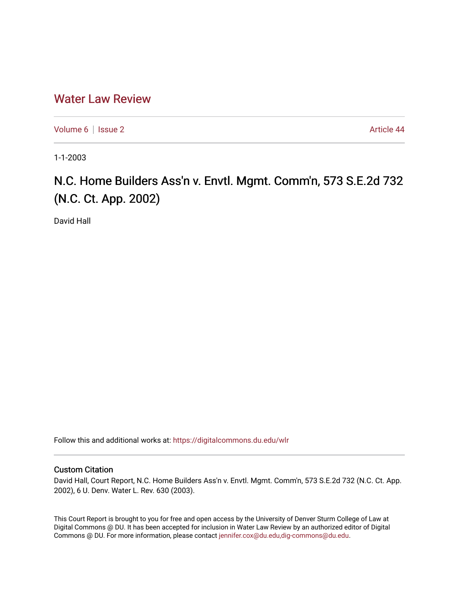## [Water Law Review](https://digitalcommons.du.edu/wlr)

[Volume 6](https://digitalcommons.du.edu/wlr/vol6) | [Issue 2](https://digitalcommons.du.edu/wlr/vol6/iss2) Article 44

1-1-2003

## N.C. Home Builders Ass'n v. Envtl. Mgmt. Comm'n, 573 S.E.2d 732 (N.C. Ct. App. 2002)

David Hall

Follow this and additional works at: [https://digitalcommons.du.edu/wlr](https://digitalcommons.du.edu/wlr?utm_source=digitalcommons.du.edu%2Fwlr%2Fvol6%2Fiss2%2F44&utm_medium=PDF&utm_campaign=PDFCoverPages) 

## Custom Citation

David Hall, Court Report, N.C. Home Builders Ass'n v. Envtl. Mgmt. Comm'n, 573 S.E.2d 732 (N.C. Ct. App. 2002), 6 U. Denv. Water L. Rev. 630 (2003).

This Court Report is brought to you for free and open access by the University of Denver Sturm College of Law at Digital Commons @ DU. It has been accepted for inclusion in Water Law Review by an authorized editor of Digital Commons @ DU. For more information, please contact [jennifer.cox@du.edu,dig-commons@du.edu.](mailto:jennifer.cox@du.edu,dig-commons@du.edu)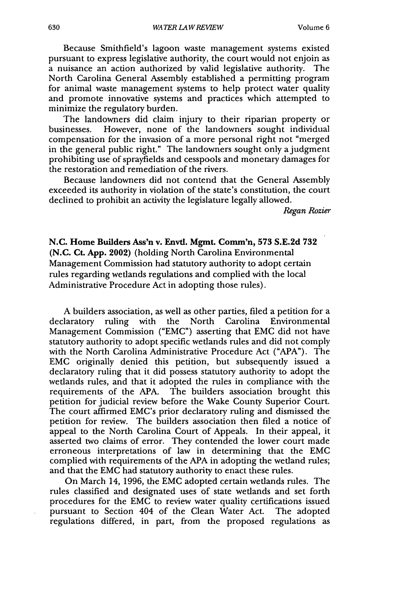Because Smithfield's lagoon waste management systems existed pursuant to express legislative authority, the court would not enjoin as a nuisance an action authorized by valid legislative authority. The North Carolina General Assembly established a permitting program for animal waste management systems to help protect water quality and promote innovative systems and practices which attempted to minimize the regulatory burden.

The landowners did claim injury to their riparian property or businesses. However, none of the landowners sought individual compensation for the invasion of a more personal right not "merged in the general public right." The landowners sought only ajudgment prohibiting use of sprayfields and cesspools and monetary damages for the restoration and remediation of the rivers.

Because landowners did not contend that the General Assembly exceeded its authority in violation of the state's constitution, the court declined to prohibit an activity the legislature legally allowed.

*Regan Rozier*

**N.C. Home Builders Ass'n v. Envtl. Mgmt. Comm'n, 573 S.E.2d 732 (N.C. Ct. App.** 2002) (holding North Carolina Environmental Management Commission had statutory authority to adopt certain rules regarding wetlands regulations and complied with the local Administrative Procedure Act in adopting those rules).

A builders association, as well as other parties, filed a petition for a declaratory ruling with the North Carolina Environmental Management Commission ("EMC") asserting that EMC did not have statutory authority to adopt specific wetlands rules and did not comply with the North Carolina Administrative Procedure Act ("APA"). The EMC originally denied this petition, but subsequently issued a declaratory ruling that it did possess statutory authority to adopt the wetlands rules, and that it adopted the rules in compliance with the requirements of the APA. The builders association brought this petition for judicial review before the Wake County Superior Court. The court affirmed EMC's prior declaratory ruling and dismissed the petition for review. The builders association then filed a notice of appeal to the North Carolina Court of Appeals. In their appeal, it asserted two claims of error. They contended the lower court made erroneous interpretations of law in determining that the EMC complied with requirements of the APA in adopting the wetland rules; and that the EMC had statutory authority to enact these rules.

On March 14, 1996, the EMC adopted certain wetlands rules. The rules classified and designated uses of state wetlands and set forth procedures for the EMC to review water quality certifications issued pursuant to Section 404 of the Clean Water Act. The adopted regulations differed, in part, from the proposed regulations as